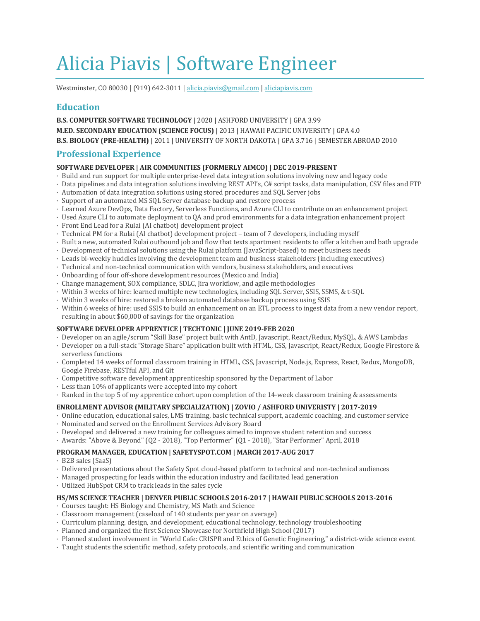# Alicia Piavis | Software Engineer

Westminster, CO 80030 | (919) 642-3011 | alicia.piavis@gmail.com | aliciapiavis.com

# **Education**

**B.S. COMPUTER SOFTWARE TECHNOLOGY** | 2020 | ASHFORD UNIVERSITY | GPA 3.99 **M.ED. SECONDARY EDUCATION (SCIENCE FOCUS) | 2013 | HAWAII PACIFIC UNIVERSITY | GPA 4.0 B.S. BIOLOGY (PRE-HEALTH)** | 2011 | UNIVERSITY OF NORTH DAKOTA | GPA 3.716 | SEMESTER ABROAD 2010

## **Professional Experience**

#### **SOFTWARE DEVELOPER | AIR COMMUNITIES (FORMERLY AIMCO) | DEC 2019-PRESENT**

- Build and run support for multiple enterprise-level data integration solutions involving new and legacy code
- Data pipelines and data integration solutions involving REST API's, C# script tasks, data manipulation, CSV files and FTP
- $\cdot$  Automation of data integration solutions using stored procedures and SQL Server jobs
- Support of an automated MS SQL Server database backup and restore process
- · Learned Azure DevOps, Data Factory, Serverless Functions, and Azure CLI to contribute on an enhancement project
- · Used Azure CLI to automate deployment to QA and prod environments for a data integration enhancement project
- · Front End Lead for a Rulai (AI chatbot) development project
- · Technical PM for a Rulai (AI chatbot) development project – team of 7 developers, including myself
- · Built a new, automated Rulai outbound job and flow that texts apartment residents to offer a kitchen and bath upgrade
- Development of technical solutions using the Rulai platform (JavaScript-based) to meet business needs
- $\cdot$  Leads bi-weekly huddles involving the development team and business stakeholders (including executives)
- $\cdot$  Technical and non-technical communication with vendors, business stakeholders, and executives
- Onboarding of four off-shore development resources (Mexico and India)
- · Change management, SOX compliance, SDLC, Jira workflow, and agile methodologies
- · Within 3 weeks of hire: learned multiple new technologies, including SQL Server, SSIS, SSMS, & t-SQL
- · Within 3 weeks of hire: restored a broken automated database backup process using SSIS
- · Within 6 weeks of hire: used SSIS to build an enhancement on an ETL process to ingest data from a new vendor report, resulting in about \$60,000 of savings for the organization

### **SOFTWARE DEVELOPER APPRENTICE | TECHTONIC | JUNE 2019-FEB 2020**

- · Developer on an agile/scrum "Skill Base" project built with AntD, Javascript, React/Redux, MySQL, & AWS Lambdas
- · Developer on a full-stack "Storage Share" application built with HTML, CSS, Javascript, React/Redux, Google Firestore & serverless functions
- · Completed 14 weeks of formal classroom training in HTML, CSS, Javascript, Node.js, Express, React, Redux, MongoDB, Google Firebase, RESTful API, and Git
- $\cdot$  Competitive software development apprenticeship sponsored by the Department of Labor
- $\cdot$  Less than 10% of applicants were accepted into my cohort
- Ranked in the top 5 of my apprentice cohort upon completion of the 14-week classroom training & assessments

#### **ENROLLMENT ADVISOR (MILITARY SPECIALIZATION) | ZOVIO / ASHFORD UNIVERISTY | 2017-2019**

- $\cdot$  Online education, educational sales, LMS training, basic technical support, academic coaching, and customer service
- · Nominated and served on the Enrollment Services Advisory Board
- $\cdot$  Developed and delivered a new training for colleagues aimed to improve student retention and success
- · Awards: "Above & Beyond" (Q2 2018), "Top Performer" (Q1 2018), "Star Performer" April, 2018

#### **PROGRAM MANAGER, EDUCATION | SAFETYSPOT.COM | MARCH 2017-AUG 2017**

- · B2B sales (SaaS)
- · Delivered presentations about the Safety Spot cloud-based platform to technical and non-technical audiences
- Managed prospecting for leads within the education industry and facilitated lead generation
- Utilized HubSpot CRM to track leads in the sales cycle

#### HS/MS SCIENCE TEACHER | DENVER PUBLIC SCHOOLS 2016-2017 | HAWAII PUBLIC SCHOOLS 2013-2016

- · Courses taught: HS Biology and Chemistry, MS Math and Science
- Classroom management (caseload of 140 students per year on average)
- · Curriculum planning, design, and development, educational technology, technology troubleshooting
- · Planned and organized the first Science Showcase for Northfield High School (2017)
- · Planned student involvement in "World Cafe: CRISPR and Ethics of Genetic Engineering," a district-wide science event
- · Taught students the scientific method, safety protocols, and scientific writing and communication